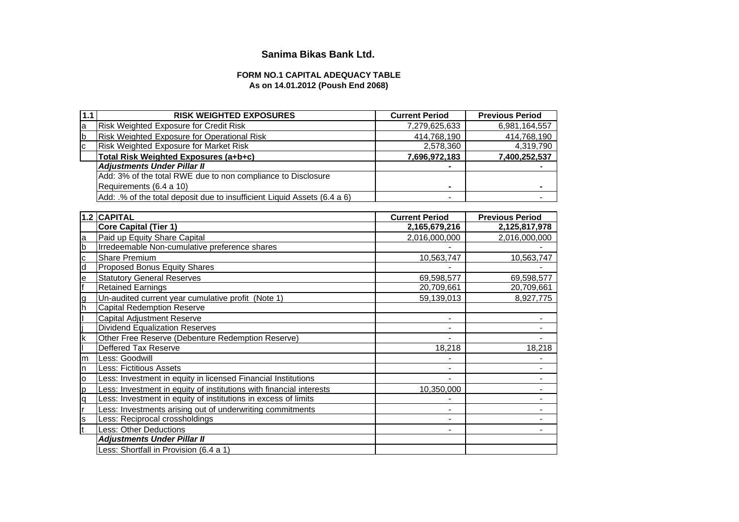# **Sanima Bikas Bank Ltd.**

# **FORM NO.1 CAPITAL ADEQUACY TABLE As on 14.01.2012 (Poush End 2068)**

| 1.1                     | <b>RISK WEIGHTED EXPOSURES</b>                                           | <b>Current Period</b>        | <b>Previous Period</b> |
|-------------------------|--------------------------------------------------------------------------|------------------------------|------------------------|
| a                       | Risk Weighted Exposure for Credit Risk                                   | 7,279,625,633                | 6,981,164,557          |
| b                       | Risk Weighted Exposure for Operational Risk                              | 414,768,190                  | 414,768,190            |
| $\mathbf c$             | Risk Weighted Exposure for Market Risk                                   | 2,578,360                    | 4,319,790              |
|                         | Total Risk Weighted Exposures (a+b+c)                                    | 7,696,972,183                | 7,400,252,537          |
|                         | <b>Adjustments Under Pillar II</b>                                       |                              |                        |
|                         | Add: 3% of the total RWE due to non compliance to Disclosure             |                              |                        |
|                         | Requirements (6.4 a 10)                                                  |                              |                        |
|                         | Add: .% of the total deposit due to insufficient Liquid Assets (6.4 a 6) |                              |                        |
|                         |                                                                          |                              |                        |
|                         | 1.2 CAPITAL                                                              | <b>Current Period</b>        | <b>Previous Period</b> |
|                         | <b>Core Capital (Tier 1)</b>                                             | 2,165,679,216                | 2,125,817,978          |
| $\mathsf{a}$            | Paid up Equity Share Capital                                             | 2,016,000,000                | 2,016,000,000          |
| $\overline{b}$          | Irredeemable Non-cumulative preference shares                            |                              |                        |
| $\mathbf c$             | <b>Share Premium</b>                                                     | 10,563,747                   | 10,563,747             |
| d                       | Proposed Bonus Equity Shares                                             |                              |                        |
| $\mathbf e$             | <b>Statutory General Reserves</b>                                        | 69,598,577                   | 69,598,577             |
| f                       | <b>Retained Earnings</b>                                                 | 20,709,661                   | 20,709,661             |
| g<br>h                  | Un-audited current year cumulative profit (Note 1)                       | 59,139,013                   | 8,927,775              |
|                         | <b>Capital Redemption Reserve</b>                                        |                              |                        |
|                         | Capital Adjustment Reserve                                               | $\blacksquare$               |                        |
|                         | <b>Dividend Equalization Reserves</b>                                    | $\overline{\phantom{a}}$     |                        |
| $\overline{\mathsf{k}}$ | Other Free Reserve (Debenture Redemption Reserve)                        |                              |                        |
|                         | Deffered Tax Reserve                                                     | 18,218                       | 18,218                 |
| m                       | Less: Goodwill                                                           |                              |                        |
| 'n                      | <b>Less: Fictitious Assets</b>                                           |                              |                        |
| o                       | Less: Investment in equity in licensed Financial Institutions            | $\blacksquare$               |                        |
| p                       | Less: Investment in equity of institutions with financial interests      | 10,350,000                   |                        |
| q                       | Less: Investment in equity of institutions in excess of limits           |                              |                        |
|                         | Less: Investments arising out of underwriting commitments                |                              |                        |
| s                       | Less: Reciprocal crossholdings                                           |                              |                        |
| t                       | <b>Less: Other Deductions</b>                                            | $\qquad \qquad \blacksquare$ |                        |
|                         | <b>Adjustments Under Pillar II</b>                                       |                              |                        |
|                         | Less: Shortfall in Provision (6.4 a 1)                                   |                              |                        |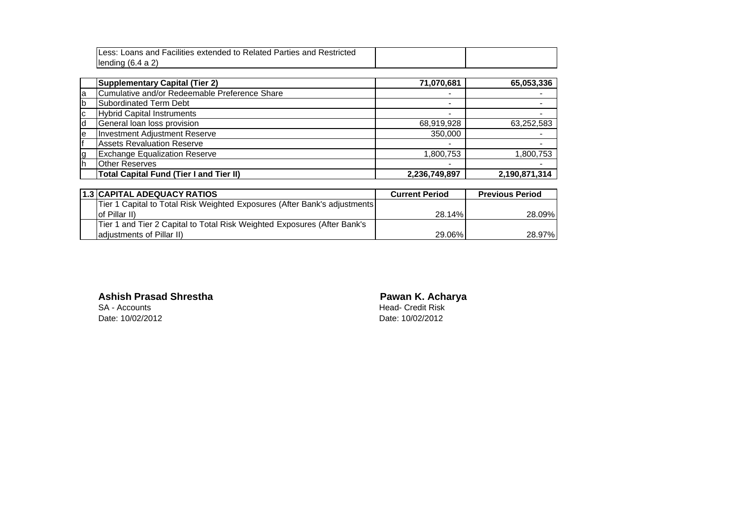|    | Less: Loans and Facilities extended to Related Parties and Restricted |                |               |
|----|-----------------------------------------------------------------------|----------------|---------------|
|    | lending $(6.4 a 2)$                                                   |                |               |
|    |                                                                       |                |               |
|    | <b>Supplementary Capital (Tier 2)</b>                                 | 71,070,681     | 65,053,336    |
| a  | Cumulative and/or Redeemable Preference Share                         |                |               |
| b  | Subordinated Term Debt                                                | -              |               |
| c  | <b>Hybrid Capital Instruments</b>                                     | -              |               |
| d  | General loan loss provision                                           | 68,919,928     | 63,252,583    |
| е  | <b>Investment Adjustment Reserve</b>                                  | 350,000        |               |
|    | <b>Assets Revaluation Reserve</b>                                     | -              |               |
| g  | <b>Exchange Equalization Reserve</b>                                  | 1,800,753      | 1,800,753     |
| h. | <b>Other Reserves</b>                                                 | $\blacksquare$ |               |
|    | <b>Total Capital Fund (Tier I and Tier II)</b>                        | 2,236,749,897  | 2,190,871,314 |

| 1.3 CAPITAL ADEQUACY RATIOS                                               | <b>Current Period</b> | <b>Previous Period</b> |
|---------------------------------------------------------------------------|-----------------------|------------------------|
| Tier 1 Capital to Total Risk Weighted Exposures (After Bank's adjustments |                       |                        |
| lof Pillar II)                                                            | 28.14%                | 28.09%                 |
| Tier 1 and Tier 2 Capital to Total Risk Weighted Exposures (After Bank's  |                       |                        |
| ladiustments of Pillar II)                                                | 29.06%                | 28.97%                 |

# **Ashish Prasad Shrestha Pawan K. Acharya**<br>
SA - Accounts **Pawan SA - Accounts**

SA - Accounts<br>
Date: 10/02/2012<br>
Date: 10/02/2012

Date: 10/02/2012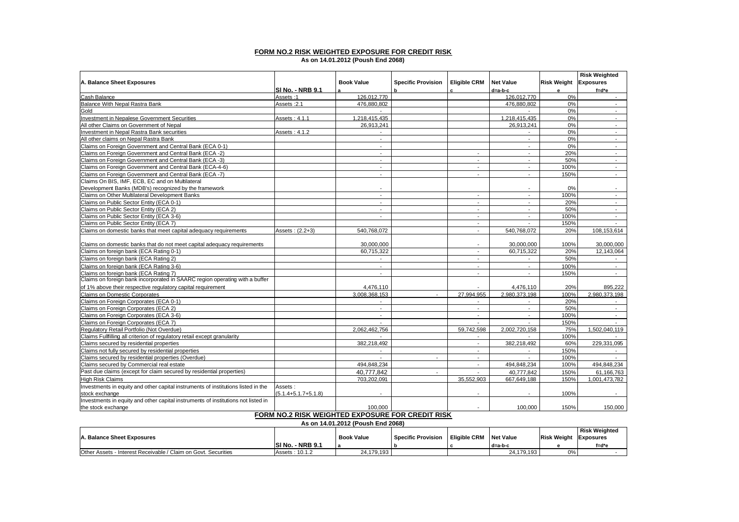### **FORM NO.2 RISK WEIGHTED EXPOSURE FOR CREDIT RISK**

**As on 14.01.2012 (Poush End 2068)**

|                                                                                   |                           |                          |                           |                          |                             |                    | <b>Risk Weighted</b>        |
|-----------------------------------------------------------------------------------|---------------------------|--------------------------|---------------------------|--------------------------|-----------------------------|--------------------|-----------------------------|
| A. Balance Sheet Exposures                                                        |                           | <b>Book Value</b>        | <b>Specific Provision</b> | <b>Eligible CRM</b>      | <b>Net Value</b>            | <b>Risk Weight</b> | <b>Exposures</b>            |
|                                                                                   | <b>SI No. - NRB 9.1</b>   |                          | b                         | c.                       | d=a-b-c                     | $\mathbf{e}$       | $f = d^*e$                  |
| Cash Balance                                                                      | Assets:1                  | 126.012.770              |                           |                          | 126,012,770                 | 0%                 | $\sim$                      |
| Balance With Nepal Rastra Bank                                                    | Assets: 2.1               | 476.880.802              |                           |                          | 476.880.802                 | 0%                 | $\sim$                      |
| Gold                                                                              |                           |                          |                           |                          |                             | 0%                 | $\sim$                      |
| <b>Investment in Nepalese Government Securities</b>                               | Assets: 4.1.1             | 1,218,415,435            |                           |                          | 1,218,415,435               | 0%                 | $\sim$                      |
| All other Claims on Government of Nepal                                           |                           | 26,913,241               |                           |                          | 26.913.241                  | 0%                 | $\blacksquare$              |
| Investment in Nepal Rastra Bank securities                                        | Assets: 4.1.2             |                          |                           |                          |                             | 0%                 | $\sim$                      |
| All other claims on Nepal Rastra Bank                                             |                           | $\blacksquare$           |                           |                          |                             | 0%                 | $\blacksquare$              |
| Claims on Foreign Government and Central Bank (ECA 0-1)                           |                           | $\blacksquare$           |                           |                          |                             | 0%                 | $\sim$                      |
| Claims on Foreign Government and Central Bank (ECA -2)                            |                           | $\sim$                   |                           | $\overline{\phantom{a}}$ | $\overline{a}$              | 20%                | $\mathcal{L}_{\mathcal{A}}$ |
| Claims on Foreign Government and Central Bank (ECA -3)                            |                           | $\sim$                   |                           | $\blacksquare$           | $\overline{\phantom{a}}$    | 50%                | $\sim$                      |
| Claims on Foreign Government and Central Bank (ECA-4-6)                           |                           | $\overline{\phantom{a}}$ |                           | $\blacksquare$           | $\sim$                      | 100%               | $\sim$                      |
| Claims on Foreign Government and Central Bank (ECA -7)                            |                           | $\blacksquare$           |                           | $\sim$                   | $\sim$                      | 150%               | $\sim$                      |
| Claims On BIS, IMF, ECB, EC and on Multilateral                                   |                           |                          |                           |                          |                             |                    |                             |
| Development Banks (MDB's) recognized by the framework                             |                           | $\blacksquare$           |                           |                          | $\tilde{\phantom{a}}$       | 0%                 | $\blacksquare$              |
| Claims on Other Multilateral Development Banks                                    |                           | $\overline{\phantom{a}}$ |                           | $\blacksquare$           | $\tilde{\phantom{a}}$       | 100%               | $\sim$                      |
| Claims on Public Sector Entity (ECA 0-1)                                          |                           | $\sim$                   |                           | $\sim$                   | $\sim$                      | 20%                | $\sim$                      |
| Claims on Public Sector Entity (ECA 2)                                            |                           | $\overline{a}$           |                           | $\sim$                   | $\overline{a}$              | 50%                | $\sim$                      |
| Claims on Public Sector Entity (ECA 3-6)                                          |                           | $\overline{a}$           |                           | $\blacksquare$           | $\mathcal{L}_{\mathcal{A}}$ | 100%               | $\mathcal{L}_{\mathcal{A}}$ |
| Claims on Public Sector Entity (ECA 7)                                            |                           |                          |                           | $\overline{\phantom{a}}$ |                             | 150%               |                             |
| Claims on domestic banks that meet capital adequacy requirements                  | Assets: (2.2+3)           | 540,768,072              |                           | $\blacksquare$           | 540,768,072                 | 20%                | 108,153,614                 |
|                                                                                   |                           |                          |                           |                          |                             |                    |                             |
| Claims on domestic banks that do not meet capital adequacy requirements           |                           | 30,000,000               |                           |                          | 30,000,000                  | 100%               | 30,000,000                  |
| Claims on foreign bank (ECA Rating 0-1)                                           |                           | 60,715,322               |                           | $\sim$                   | 60,715,322                  | 20%                | 12,143,064                  |
| Claims on foreign bank (ECA Rating 2)                                             |                           | $\overline{\phantom{a}}$ |                           | $\overline{\phantom{a}}$ | $\overline{\phantom{a}}$    | 50%                | $\sim$                      |
| Claims on foreign bank (ECA Rating 3-6)                                           |                           | $\sim$                   |                           | $\sim$                   | $\sim$                      | 100%               | $\sim$                      |
| Claims on foreign bank (ECA Rating 7)                                             |                           | $\overline{\phantom{a}}$ |                           | $\overline{\phantom{a}}$ | $\overline{a}$              | 150%               | $\sim$                      |
| Claims on foreign bank incorporated in SAARC region operating with a buffer       |                           |                          |                           |                          |                             |                    |                             |
| of 1% above their respective requlatory capital requirement                       |                           | 4,476,110                |                           |                          | 4,476,110                   | 20%                | 895,222                     |
| Claims on Domestic Corporates                                                     |                           | 3.008.368.153            |                           | 27.994.955               | 2.980.373.198               | 100%               | 2.980,373,198               |
| Claims on Foreign Corporates (ECA 0-1)                                            |                           |                          |                           |                          |                             | 20%                |                             |
| Claims on Foreign Corporates (ECA 2)                                              |                           | $\sim$                   |                           |                          |                             | 50%                | $\sim$                      |
| Claims on Foreign Corporates (ECA 3-6)                                            |                           | $\overline{a}$           |                           | $\overline{\phantom{a}}$ | $\overline{a}$              | 100%               | $\sim$                      |
| Claims on Foreign Corporates (ECA 7)                                              |                           | $\overline{\phantom{a}}$ |                           | $\overline{\phantom{a}}$ |                             | 150%               |                             |
| Regulatory Retail Portfolio (Not Overdue)                                         |                           | 2.062.462.756            |                           | 59.742.598               | 2.002.720.158               | 75%                | 1.502.040.119               |
| Claims Fullfilling all criterion of regulatory retail except granularity          |                           | $\overline{\phantom{a}}$ |                           | $\sim$                   | $\overline{\phantom{a}}$    | 100%               |                             |
| Claims secured by residential properties                                          |                           | 382,218,492              |                           | $\sim$                   | 382,218,492                 | 60%                | 229,331,095                 |
| Claims not fully secured by residential properties                                |                           | $\sim$                   |                           | $\sim$                   | $\sim$                      | 150%               | $\sim$                      |
| Claims secured by residential properties (Overdue)                                |                           | $\sim$                   | $\sim$                    | $\sim$                   | $\sim$                      | 100%               |                             |
| Claims secured by Commercial real estate                                          |                           | 494,848,234              |                           | $\sim$                   | 494,848,234                 | 100%               | 494,848,234                 |
| Past due claims (except for claim secured by residential properties)              |                           | 40.777.842               | $\overline{a}$            | $\overline{a}$           | 40.777.842                  | 150%               | 61.166.763                  |
| High Risk Claims                                                                  |                           | 703.202.091              |                           | 35.552.903               | 667,649,188                 | 150%               | 1,001,473,782               |
| Investments in equity and other capital instruments of institutions listed in the | Assets:                   |                          |                           |                          |                             |                    |                             |
| stock exchange                                                                    | $(5.1.4 + 5.1.7 + 5.1.8)$ | $\blacksquare$           |                           | $\blacksquare$           | $\blacksquare$              | 100%               | $\blacksquare$              |
| Investments in equity and other capital instruments of institutions not listed in |                           |                          |                           |                          |                             |                    |                             |
| the stock exchange                                                                |                           | 100,000                  |                           |                          | 100.000                     | 150%               | 150,000                     |
|                                                                                   |                           |                          |                           |                          |                             |                    |                             |

#### **FORM NO.2 RISK WEIGHTED EXPOSURE FOR CREDIT RISK As on 14.01.2012 (Poush End 2068)**

| A. Balance Sheet Exposures                                     |                         | <b>Book Value</b><br>Specific Provision |  | <b>Eligible CRM Net Value</b> |            | <b>Risk Weight Exposures</b> | <b>Risk Weighted</b> |
|----------------------------------------------------------------|-------------------------|-----------------------------------------|--|-------------------------------|------------|------------------------------|----------------------|
|                                                                | <b>SI No. - NRB 9.1</b> |                                         |  |                               | l d=a-b-c  |                              | f=d*e                |
| Other Assets - Interest Receivable / Claim on Govt. Securities | Assets: 10.1.2          | 24.179.193                              |  |                               | 24.179.193 | 0%                           |                      |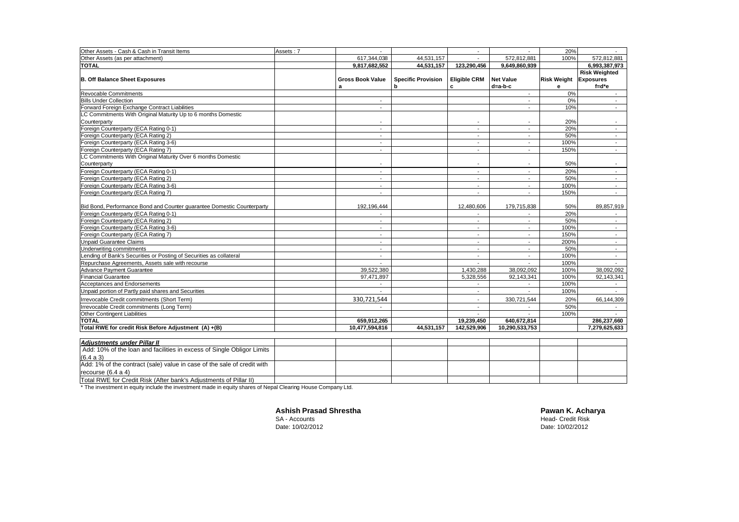| Other Assets - Cash & Cash in Transit Items                            | Assets: 7 |                          |                           |                          |                          | 20%                |                      |
|------------------------------------------------------------------------|-----------|--------------------------|---------------------------|--------------------------|--------------------------|--------------------|----------------------|
| Other Assets (as per attachment)                                       |           | 617,344,038              | 44.531.157                |                          | 572.812.881              | 100%               | 572.812.881          |
| <b>TOTAL</b>                                                           |           | 9,817,682,552            | 44,531,157                | 123,290,456              | 9,649,860,939            |                    | 6,993,387,973        |
|                                                                        |           |                          |                           |                          |                          |                    | <b>Risk Weighted</b> |
| <b>B. Off Balance Sheet Exposures</b>                                  |           | <b>Gross Book Value</b>  | <b>Specific Provision</b> | <b>Eligible CRM</b>      | <b>Net Value</b>         | <b>Risk Weight</b> | <b>Exposures</b>     |
|                                                                        |           | a                        | h                         | c                        | $d=a-b-c$                | е                  | $f = d^*e$           |
| Revocable Commitments                                                  |           |                          |                           |                          |                          | 0%                 |                      |
| <b>Bills Under Collection</b>                                          |           | $\overline{a}$           |                           |                          | $\sim$                   | 0%                 | $\sim$               |
| Forward Foreign Exchange Contract Liabilities                          |           |                          |                           |                          |                          | 10%                | $\sim$               |
| LC Commitments With Original Maturity Up to 6 months Domestic          |           |                          |                           |                          |                          |                    |                      |
| Counterparty                                                           |           |                          |                           |                          |                          | 20%                |                      |
| Foreign Counterparty (ECA Rating 0-1)                                  |           | $\sim$                   |                           | $\sim$                   | $\overline{\phantom{a}}$ | 20%                | $\sim$               |
| Foreign Counterparty (ECA Rating 2)                                    |           | $\sim$                   |                           |                          |                          | 50%                | $\sim$               |
| Foreign Counterparty (ECA Rating 3-6)                                  |           |                          |                           |                          |                          | 100%               | $\sim$               |
| Foreign Counterparty (ECA Rating 7)                                    |           | $\overline{\phantom{a}}$ |                           | $\overline{\phantom{a}}$ |                          | 150%               | $\sim$               |
| LC Commitments With Original Maturity Over 6 months Domestic           |           |                          |                           |                          |                          |                    |                      |
| Counterparty                                                           |           | $\overline{\phantom{a}}$ |                           |                          | ٠                        | 50%                | $\sim$               |
| Foreign Counterparty (ECA Rating 0-1)                                  |           | $\overline{\phantom{a}}$ |                           |                          | ٠                        | 20%                | $\sim$               |
| Foreign Counterparty (ECA Rating 2)                                    |           |                          |                           |                          |                          | 50%                | $\sim$               |
| Foreign Counterparty (ECA Rating 3-6)                                  |           |                          |                           |                          |                          | 100%               | $\sim$               |
| Foreign Counterparty (ECA Rating 7)                                    |           |                          |                           |                          |                          | 150%               |                      |
|                                                                        |           |                          |                           |                          |                          |                    |                      |
| Bid Bond, Performance Bond and Counter quarantee Domestic Counterparty |           | 192.196.444              |                           | 12.480.606               | 179.715.838              | 50%                | 89,857,919           |
| Foreign Counterparty (ECA Rating 0-1)                                  |           |                          |                           |                          |                          | 20%                |                      |
| Foreign Counterparty (ECA Rating 2)                                    |           |                          |                           |                          |                          | 50%                |                      |
| Foreign Counterparty (ECA Rating 3-6)                                  |           |                          |                           |                          |                          | 100%               | $\sim$               |
| Foreign Counterparty (ECA Rating 7)                                    |           |                          |                           |                          |                          | 150%               | $\sim$               |
| <b>Unpaid Guarantee Claims</b>                                         |           |                          |                           |                          |                          | 200%               | $\sim$               |
| Underwriting commitments                                               |           |                          |                           |                          |                          | 50%                | $\sim$               |
| Lending of Bank's Securities or Posting of Securities as collateral    |           |                          |                           |                          | $\blacksquare$           | 100%               | $\sim$               |
| Repurchase Agreements. Assets sale with recourse                       |           |                          |                           |                          |                          | 100%               | $\sim$               |
| <b>Advance Payment Guarantee</b>                                       |           | 39,522,380               |                           | 1,430,288                | 38,092,092               | 100%               | 38,092,092           |
| <b>Financial Guarantee</b>                                             |           | 97,471,897               |                           | 5,328,556                | 92,143,341               | 100%               | 92,143,341           |
| Acceptances and Endorsements                                           |           |                          |                           |                          |                          | 100%               |                      |
| Unpaid portion of Partly paid shares and Securities                    |           | $\sim$                   |                           | $\blacksquare$           | $\overline{\phantom{a}}$ | 100%               | $\sim$               |
| Irrevocable Credit commitments (Short Term)                            |           | 330,721,544              |                           |                          | 330,721,544              | 20%                | 66,144,309           |
| Irrevocable Credit commitments (Long Term)                             |           |                          |                           | $\sim$                   | $\overline{\phantom{a}}$ | 50%                |                      |
| <b>Other Contingent Liabilities</b>                                    |           |                          |                           |                          |                          | 100%               |                      |
| <b>TOTAL</b>                                                           |           | 659,912,265              |                           | 19,239,450               | 640,672,814              |                    | 286,237,660          |
| Total RWE for credit Risk Before Adjustment (A) +(B)                   |           | 10,477,594,816           | 44,531,157                | 142,529,906              | 10,290,533,753           |                    | 7,279,625,633        |
|                                                                        |           |                          |                           |                          |                          |                    |                      |
| <b>Adjustments under Pillar II</b>                                     |           |                          |                           |                          |                          |                    |                      |

| Adiustments under Pillar II                                             |  |  |  |  |
|-------------------------------------------------------------------------|--|--|--|--|
| Add: 10% of the loan and facilities in excess of Single Obligor Limits  |  |  |  |  |
| (6.4 a 3)                                                               |  |  |  |  |
| Add: 1% of the contract (sale) value in case of the sale of credit with |  |  |  |  |
| recourse $(6.4 a 4)$                                                    |  |  |  |  |
| Total RWE for Credit Risk (After bank's Adjustments of Pillar II)       |  |  |  |  |

Total RWE for Credit Risk (After bank's Adjustments of Pillar II) \* The investment in equity include the investment made in equity shares of Nepal Clearing House Company Ltd.

**Ashish Prasad Shrestha**<br>SA - Accounts

**Ashish Prasad Shrestha**<br>
SA - Accounts Head- Credit Risk<br>
Date: 10/02/2012<br>
Date: 10/02/2012 Date: 10/02/2012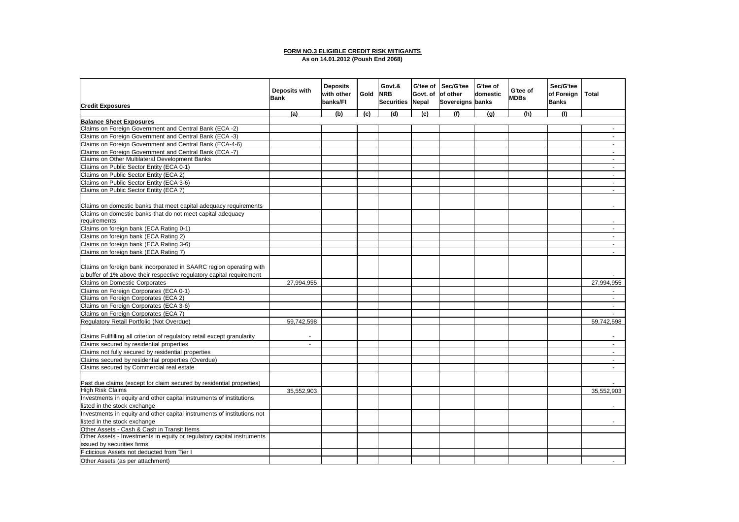#### **FORM NO.3 ELIGIBLE CREDIT RISK MITIGANTS**

**As on 14.01.2012 (Poush End 2068)**

|                                                                                                          | <b>Deposits with</b><br><b>Bank</b> | <b>Deposits</b><br>with other<br>banks/FI | Gold | Govt.&<br><b>NRB</b><br>Securities Nepal | G'tee of<br>Govt. of | Sec/G'tee<br>of other<br>Sovereigns banks | G'tee of<br>domestic | G'tee of<br><b>MDBs</b> | Sec/G'tee<br>of Foreign<br><b>Banks</b> | <b>Total</b>     |
|----------------------------------------------------------------------------------------------------------|-------------------------------------|-------------------------------------------|------|------------------------------------------|----------------------|-------------------------------------------|----------------------|-------------------------|-----------------------------------------|------------------|
| <b>Credit Exposures</b>                                                                                  |                                     |                                           |      | (d)                                      |                      | (f)                                       |                      | (h)                     | (1)                                     |                  |
|                                                                                                          | (a)                                 | (b)                                       | (c)  |                                          | (e)                  |                                           | (q)                  |                         |                                         |                  |
| <b>Balance Sheet Exposures</b><br>Claims on Foreign Government and Central Bank (ECA -2)                 |                                     |                                           |      |                                          |                      |                                           |                      |                         |                                         | $\sim$           |
| Claims on Foreign Government and Central Bank (ECA -3)                                                   |                                     |                                           |      |                                          |                      |                                           |                      |                         |                                         | $\sim$           |
| Claims on Foreign Government and Central Bank (ECA-4-6)                                                  |                                     |                                           |      |                                          |                      |                                           |                      |                         |                                         | $\sim$           |
|                                                                                                          |                                     |                                           |      |                                          |                      |                                           |                      |                         |                                         | $\sim$           |
| Claims on Foreign Government and Central Bank (ECA -7)<br>Claims on Other Multilateral Development Banks |                                     |                                           |      |                                          |                      |                                           |                      |                         |                                         | $\sim$           |
| Claims on Public Sector Entity (ECA 0-1)                                                                 |                                     |                                           |      |                                          |                      |                                           |                      |                         |                                         | $\sim$           |
| Claims on Public Sector Entity (ECA 2)                                                                   |                                     |                                           |      |                                          |                      |                                           |                      |                         |                                         | $\sim$           |
|                                                                                                          |                                     |                                           |      |                                          |                      |                                           |                      |                         |                                         |                  |
| Claims on Public Sector Entity (ECA 3-6)<br>Claims on Public Sector Entity (ECA 7)                       |                                     |                                           |      |                                          |                      |                                           |                      |                         |                                         | $\sim$<br>$\sim$ |
|                                                                                                          |                                     |                                           |      |                                          |                      |                                           |                      |                         |                                         |                  |
| Claims on domestic banks that meet capital adequacy requirements                                         |                                     |                                           |      |                                          |                      |                                           |                      |                         |                                         | ÷.               |
| Claims on domestic banks that do not meet capital adequacy                                               |                                     |                                           |      |                                          |                      |                                           |                      |                         |                                         |                  |
| requirements                                                                                             |                                     |                                           |      |                                          |                      |                                           |                      |                         |                                         |                  |
| Claims on foreign bank (ECA Rating 0-1)                                                                  |                                     |                                           |      |                                          |                      |                                           |                      |                         |                                         | $\blacksquare$   |
| Claims on foreign bank (ECA Rating 2)                                                                    |                                     |                                           |      |                                          |                      |                                           |                      |                         |                                         | $\sim$           |
| Claims on foreign bank (ECA Rating 3-6)                                                                  |                                     |                                           |      |                                          |                      |                                           |                      |                         |                                         | $\omega$         |
| Claims on foreign bank (ECA Rating 7)                                                                    |                                     |                                           |      |                                          |                      |                                           |                      |                         |                                         | $\sim$           |
|                                                                                                          |                                     |                                           |      |                                          |                      |                                           |                      |                         |                                         |                  |
| Claims on foreign bank incorporated in SAARC region operating with                                       |                                     |                                           |      |                                          |                      |                                           |                      |                         |                                         |                  |
| a buffer of 1% above their respective regulatory capital requirement                                     |                                     |                                           |      |                                          |                      |                                           |                      |                         |                                         |                  |
| <b>Claims on Domestic Corporates</b>                                                                     | 27,994,955                          |                                           |      |                                          |                      |                                           |                      |                         |                                         | 27,994,955       |
| Claims on Foreign Corporates (ECA 0-1)                                                                   |                                     |                                           |      |                                          |                      |                                           |                      |                         |                                         |                  |
| Claims on Foreign Corporates (ECA 2)                                                                     |                                     |                                           |      |                                          |                      |                                           |                      |                         |                                         | $\sim$           |
| Claims on Foreign Corporates (ECA 3-6)                                                                   |                                     |                                           |      |                                          |                      |                                           |                      |                         |                                         | $\sim$           |
| Claims on Foreign Corporates (ECA 7)                                                                     |                                     |                                           |      |                                          |                      |                                           |                      |                         |                                         | $\sim$           |
| Regulatory Retail Portfolio (Not Overdue)                                                                | 59,742,598                          |                                           |      |                                          |                      |                                           |                      |                         |                                         | 59,742,598       |
| Claims Fullfilling all criterion of regulatory retail except granularity                                 |                                     |                                           |      |                                          |                      |                                           |                      |                         |                                         |                  |
| Claims secured by residential properties                                                                 | $\sim$                              |                                           |      |                                          |                      |                                           |                      |                         |                                         | $\sim$           |
| Claims not fully secured by residential properties                                                       |                                     |                                           |      |                                          |                      |                                           |                      |                         |                                         | $\sim$           |
| Claims secured by residential properties (Overdue)                                                       |                                     |                                           |      |                                          |                      |                                           |                      |                         |                                         | $\sim$           |
| Claims secured by Commercial real estate                                                                 |                                     |                                           |      |                                          |                      |                                           |                      |                         |                                         | $\sim$           |
| Past due claims (except for claim secured by residential properties)                                     |                                     |                                           |      |                                          |                      |                                           |                      |                         |                                         |                  |
| <b>High Risk Claims</b>                                                                                  | 35,552,903                          |                                           |      |                                          |                      |                                           |                      |                         |                                         | 35.552.903       |
| Investments in equity and other capital instruments of institutions                                      |                                     |                                           |      |                                          |                      |                                           |                      |                         |                                         |                  |
| listed in the stock exchange                                                                             |                                     |                                           |      |                                          |                      |                                           |                      |                         |                                         |                  |
| Investments in equity and other capital instruments of institutions not                                  |                                     |                                           |      |                                          |                      |                                           |                      |                         |                                         |                  |
| listed in the stock exchange                                                                             |                                     |                                           |      |                                          |                      |                                           |                      |                         |                                         | $\sim$           |
| Other Assets - Cash & Cash in Transit Items                                                              |                                     |                                           |      |                                          |                      |                                           |                      |                         |                                         |                  |
| Other Assets - Investments in equity or regulatory capital instruments                                   |                                     |                                           |      |                                          |                      |                                           |                      |                         |                                         |                  |
| issued by securities firms                                                                               |                                     |                                           |      |                                          |                      |                                           |                      |                         |                                         |                  |
| Ficticious Assets not deducted from Tier I                                                               |                                     |                                           |      |                                          |                      |                                           |                      |                         |                                         |                  |
| Other Assets (as per attachment)                                                                         |                                     |                                           |      |                                          |                      |                                           |                      |                         |                                         |                  |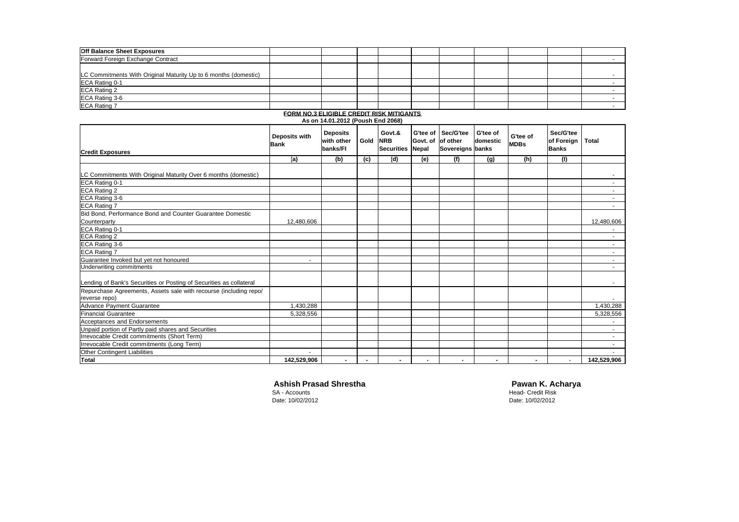| <b>Off Balance Sheet Exposures</b>                              |  |  |  |  |  |
|-----------------------------------------------------------------|--|--|--|--|--|
| Forward Foreign Exchange Contract                               |  |  |  |  |  |
|                                                                 |  |  |  |  |  |
| LC Commitments With Original Maturity Up to 6 months (domestic) |  |  |  |  |  |
| ECA Rating 0-1                                                  |  |  |  |  |  |
| ECA Rating 2                                                    |  |  |  |  |  |
| ECA Rating 3-6                                                  |  |  |  |  |  |
| <b>ECA Rating 7</b>                                             |  |  |  |  |  |

|                                                                                    |                              | As on 14.01.2012 (Poush End 2068)         |          |                             |                                               |                               |                      |                         |                                         |              |
|------------------------------------------------------------------------------------|------------------------------|-------------------------------------------|----------|-----------------------------|-----------------------------------------------|-------------------------------|----------------------|-------------------------|-----------------------------------------|--------------|
| <b>Credit Exposures</b>                                                            | Deposits with<br><b>Bank</b> | <b>Deposits</b><br>with other<br>banks/FI | Gold NRB | Govt.&<br><b>Securities</b> | G'tee of<br>Govt. of of other<br><b>Nepal</b> | Sec/G'tee<br>Sovereigns banks | G'tee of<br>domestic | G'tee of<br><b>MDBs</b> | Sec/G'tee<br>of Foreign<br><b>Banks</b> | <b>Total</b> |
|                                                                                    | (a)                          | (b)                                       | (c)      | (d)                         | (e)                                           | (f)                           | (q)                  | (h)                     | (1)                                     |              |
| LC Commitments With Original Maturity Over 6 months (domestic)                     |                              |                                           |          |                             |                                               |                               |                      |                         |                                         | $\sim$       |
| ECA Rating 0-1                                                                     |                              |                                           |          |                             |                                               |                               |                      |                         |                                         | $\sim$       |
| <b>ECA Rating 2</b>                                                                |                              |                                           |          |                             |                                               |                               |                      |                         |                                         | $\sim$       |
| ECA Rating 3-6                                                                     |                              |                                           |          |                             |                                               |                               |                      |                         |                                         | $\sim$       |
| <b>ECA Rating 7</b>                                                                |                              |                                           |          |                             |                                               |                               |                      |                         |                                         | $\sim$       |
| Bid Bond, Performance Bond and Counter Guarantee Domestic                          |                              |                                           |          |                             |                                               |                               |                      |                         |                                         |              |
| Counterparty                                                                       | 12,480,606                   |                                           |          |                             |                                               |                               |                      |                         |                                         | 12,480,606   |
| ECA Rating 0-1                                                                     |                              |                                           |          |                             |                                               |                               |                      |                         |                                         | $\sim$       |
| <b>ECA Rating 2</b>                                                                |                              |                                           |          |                             |                                               |                               |                      |                         |                                         | $\sim$       |
| ECA Rating 3-6                                                                     |                              |                                           |          |                             |                                               |                               |                      |                         |                                         | $\sim$       |
| <b>ECA Rating 7</b>                                                                |                              |                                           |          |                             |                                               |                               |                      |                         |                                         | $\sim$       |
| Guarantee Invoked but yet not honoured                                             | ۰                            |                                           |          |                             |                                               |                               |                      |                         |                                         | $\sim$       |
| Underwriting commitments                                                           |                              |                                           |          |                             |                                               |                               |                      |                         |                                         | $\sim$       |
| Lending of Bank's Securities or Posting of Securities as collateral                |                              |                                           |          |                             |                                               |                               |                      |                         |                                         | $\sim$       |
| Repurchase Agreements, Assets sale with recourse (including repo/<br>reverse repo) |                              |                                           |          |                             |                                               |                               |                      |                         |                                         |              |
| Advance Payment Guarantee                                                          | 1,430,288                    |                                           |          |                             |                                               |                               |                      |                         |                                         | 1,430,288    |
| <b>Financial Guarantee</b>                                                         | 5,328,556                    |                                           |          |                             |                                               |                               |                      |                         |                                         | 5,328,556    |
| Acceptances and Endorsements                                                       |                              |                                           |          |                             |                                               |                               |                      |                         |                                         | $\sim$       |
| Unpaid portion of Partly paid shares and Securities                                |                              |                                           |          |                             |                                               |                               |                      |                         |                                         | $\sim$       |
| Irrevocable Credit commitments (Short Term)                                        |                              |                                           |          |                             |                                               |                               |                      |                         |                                         | $\sim$       |
| Irrevocable Credit commitments (Long Term)                                         |                              |                                           |          |                             |                                               |                               |                      |                         |                                         | $\sim$       |
| Other Contingent Liabilities                                                       |                              |                                           |          |                             |                                               |                               |                      |                         |                                         |              |
| <b>Total</b>                                                                       | 142,529,906                  | $\blacksquare$                            |          | $\blacksquare$              |                                               |                               | $\blacksquare$       |                         | $\sim$                                  | 142,529,906  |

# **FORM NO.3 ELIGIBLE CREDIT RISK MITIGANTS**

# **Ashish Prasad Shrestha Pawan K. Acharya**<br>
SA - Accounts **Pawan K. Acharya**<br>
Head- Credit Risk

SA - Accounts Head- Credit Risk

Date: 10/02/2012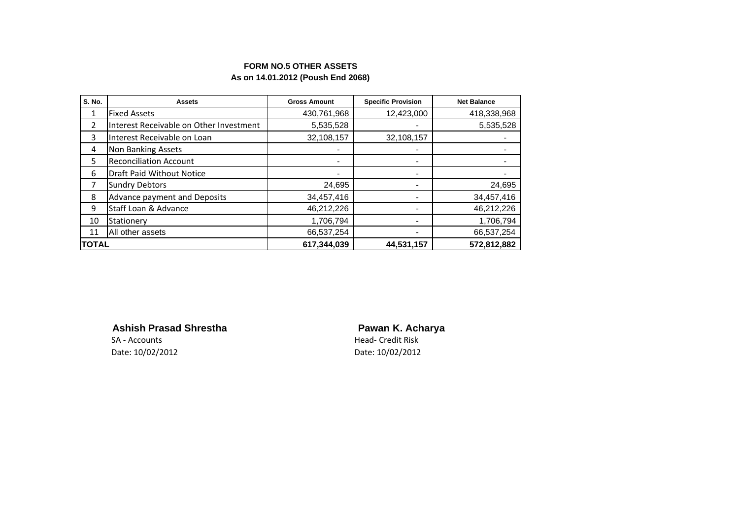# **FORM NO.5 OTHER ASSETS As on 14.01.2012 (Poush End 2068)**

| <b>S. No.</b>  | <b>Assets</b>                           | <b>Gross Amount</b>      | <b>Specific Provision</b> | <b>Net Balance</b> |  |
|----------------|-----------------------------------------|--------------------------|---------------------------|--------------------|--|
| 1              | <b>Fixed Assets</b>                     | 430,761,968              | 12,423,000                | 418,338,968        |  |
| $\overline{2}$ | Interest Receivable on Other Investment | 5,535,528                |                           | 5,535,528          |  |
| 3              | Interest Receivable on Loan             | 32,108,157               | 32,108,157                |                    |  |
| 4              | Non Banking Assets                      |                          |                           |                    |  |
| 5              | <b>Reconciliation Account</b>           | $\overline{\phantom{0}}$ | -                         |                    |  |
| 6              | Draft Paid Without Notice               | $\blacksquare$           | -                         |                    |  |
| 7              | <b>Sundry Debtors</b>                   | 24,695                   |                           | 24,695             |  |
| 8              | Advance payment and Deposits            | 34,457,416               |                           | 34,457,416         |  |
| 9              | Staff Loan & Advance                    | 46,212,226               | -                         | 46,212,226         |  |
| 10             | Stationery                              | 1,706,794                | -                         | 1,706,794          |  |
| 11             | All other assets                        | 66,537,254               | -                         | 66,537,254         |  |
| <b>TOTAL</b>   |                                         | 617,344,039              | 44,531,157                | 572,812,882        |  |

**Ashish Prasad Shrestha Pawan K. Acharya**

Date: 10/02/2012 Date: 10/02/2012

SA - Accounts **Head- Credit Risk**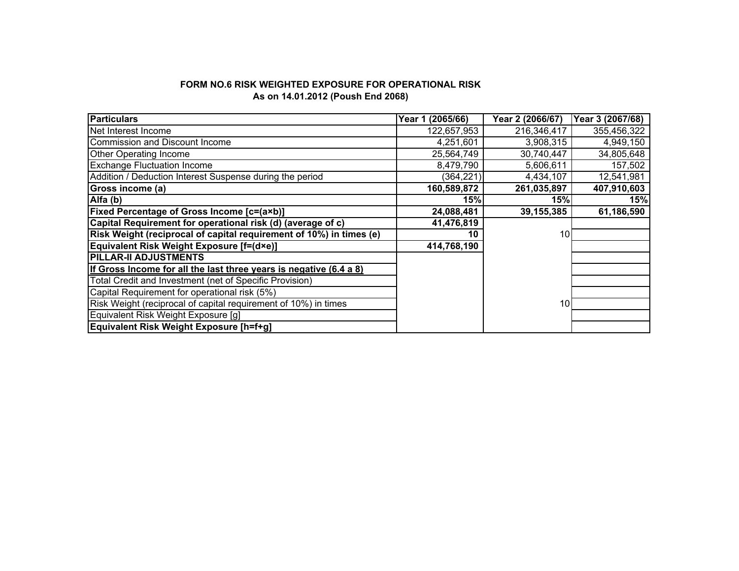# **FORM NO.6 RISK WEIGHTED EXPOSURE FOR OPERATIONAL RISK As on 14.01.2012 (Poush End 2068)**

| <b>Particulars</b>                                                  | Year 1 (2065/66) | Year 2 (2066/67) | Year 3 (2067/68) |
|---------------------------------------------------------------------|------------------|------------------|------------------|
| Net Interest Income                                                 | 122,657,953      | 216,346,417      | 355,456,322      |
| Commission and Discount Income                                      | 4,251,601        | 3,908,315        | 4,949,150        |
| <b>Other Operating Income</b>                                       | 25,564,749       | 30,740,447       | 34,805,648       |
| <b>Exchange Fluctuation Income</b>                                  | 8,479,790        | 5,606,611        | 157,502          |
| Addition / Deduction Interest Suspense during the period            | (364, 221)       | 4,434,107        | 12,541,981       |
| Gross income (a)                                                    | 160,589,872      | 261,035,897      | 407,910,603      |
| $\overline{A}$ lfa (b)                                              | 15%              | 15%              | 15%              |
| Fixed Percentage of Gross Income [c=(a×b)]                          | 24,088,481       | 39, 155, 385     | 61,186,590       |
| Capital Requirement for operational risk (d) (average of c)         | 41,476,819       |                  |                  |
| Risk Weight (reciprocal of capital requirement of 10%) in times (e) | 10               | 10               |                  |
| Equivalent Risk Weight Exposure [f=(d×e)]                           | 414,768,190      |                  |                  |
| <b>PILLAR-II ADJUSTMENTS</b>                                        |                  |                  |                  |
| If Gross Income for all the last three years is negative (6.4 a 8)  |                  |                  |                  |
| Total Credit and Investment (net of Specific Provision)             |                  |                  |                  |
| Capital Requirement for operational risk (5%)                       |                  |                  |                  |
| Risk Weight (reciprocal of capital requirement of 10%) in times     |                  | 10               |                  |
| Equivalent Risk Weight Exposure [g]                                 |                  |                  |                  |
| Equivalent Risk Weight Exposure [h=f+g]                             |                  |                  |                  |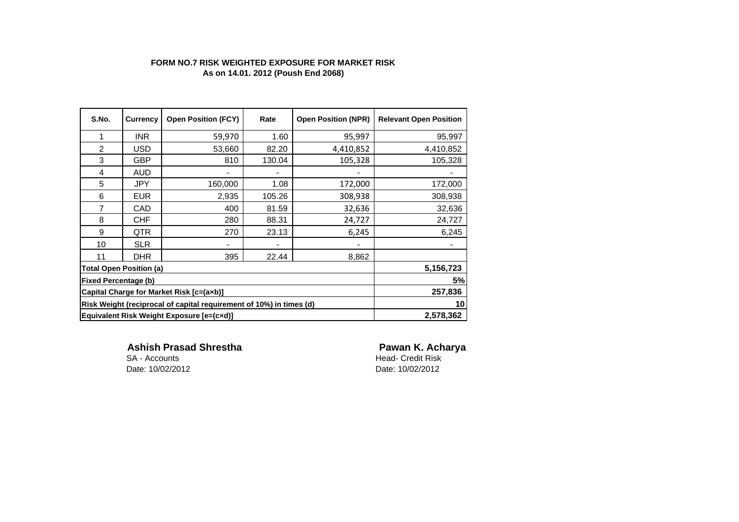# **FORM NO.7 RISK WEIGHTED EXPOSURE FOR MARKET RISK As on 14.01. 2012 (Poush End 2068)**

| S.No.                                                               | <b>Currency</b> | <b>Open Position (FCY)</b> | Rate   | <b>Open Position (NPR)</b> | <b>Relevant Open Position</b> |
|---------------------------------------------------------------------|-----------------|----------------------------|--------|----------------------------|-------------------------------|
| 1                                                                   | INR.            | 59,970                     | 1.60   | 95,997                     | 95,997                        |
| $\overline{2}$                                                      | <b>USD</b>      | 53,660                     | 82.20  | 4,410,852                  | 4,410,852                     |
| 3                                                                   | <b>GBP</b>      | 810                        | 130.04 | 105,328                    | 105,328                       |
| 4                                                                   | AUD             |                            |        |                            |                               |
| 5                                                                   | <b>JPY</b>      | 160,000                    | 1.08   | 172,000                    | 172,000                       |
| 6                                                                   | <b>EUR</b>      | 2,935                      | 105.26 | 308,938                    | 308,938                       |
| 7                                                                   | CAD             | 400                        | 81.59  | 32,636                     | 32,636                        |
| 8                                                                   | <b>CHF</b>      | 280                        | 88.31  | 24,727                     | 24,727                        |
| 9                                                                   | QTR.            | 270                        | 23.13  | 6,245                      | 6,245                         |
| 10                                                                  | <b>SLR</b>      |                            |        |                            |                               |
| 11                                                                  | <b>DHR</b>      | 395                        | 22.44  | 8,862                      |                               |
| <b>Total Open Position (a)</b>                                      | 5,156,723       |                            |        |                            |                               |
| <b>Fixed Percentage (b)</b>                                         | 5%              |                            |        |                            |                               |
| Capital Charge for Market Risk [c=(axb)]                            | 257,836         |                            |        |                            |                               |
| Risk Weight (reciprocal of capital requirement of 10%) in times (d) | 10 <sup>1</sup> |                            |        |                            |                               |
| Equivalent Risk Weight Exposure [e=(cxd)]                           |                 |                            |        |                            | 2,578,362                     |

**Ashish Prasad Shrestha Pawan K. Acharya**<br>
SA - Accounts **Pawan Communisty Communisty Communisty** Date: 10/02/2012

Head- Credit Risk<br>Date: 10/02/2012